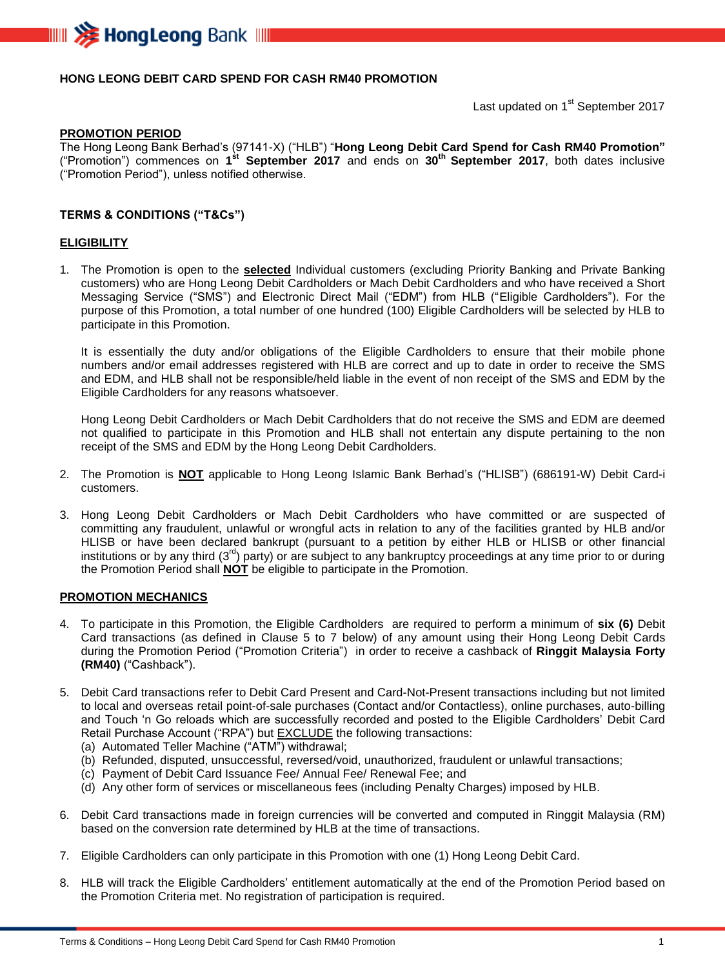

## **HONG LEONG DEBIT CARD SPEND FOR CASH RM40 PROMOTION**

Last updated on 1<sup>st</sup> September 2017

#### **PROMOTION PERIOD**

The Hong Leong Bank Berhad's (97141-X) ("HLB") "**Hong Leong Debit Card Spend for Cash RM40 Promotion"** ("Promotion") commences on **1 st September 2017** and ends on **30 th September 2017**, both dates inclusive ("Promotion Period"), unless notified otherwise.

### **TERMS & CONDITIONS ("T&Cs")**

#### **ELIGIBILITY**

1. The Promotion is open to the **selected** Individual customers (excluding Priority Banking and Private Banking customers) who are Hong Leong Debit Cardholders or Mach Debit Cardholders and who have received a Short Messaging Service ("SMS") and Electronic Direct Mail ("EDM") from HLB ("Eligible Cardholders"). For the purpose of this Promotion, a total number of one hundred (100) Eligible Cardholders will be selected by HLB to participate in this Promotion.

It is essentially the duty and/or obligations of the Eligible Cardholders to ensure that their mobile phone numbers and/or email addresses registered with HLB are correct and up to date in order to receive the SMS and EDM, and HLB shall not be responsible/held liable in the event of non receipt of the SMS and EDM by the Eligible Cardholders for any reasons whatsoever.

Hong Leong Debit Cardholders or Mach Debit Cardholders that do not receive the SMS and EDM are deemed not qualified to participate in this Promotion and HLB shall not entertain any dispute pertaining to the non receipt of the SMS and EDM by the Hong Leong Debit Cardholders.

- 2. The Promotion is **NOT** applicable to Hong Leong Islamic Bank Berhad's ("HLISB") (686191-W) Debit Card-i customers.
- 3. Hong Leong Debit Cardholders or Mach Debit Cardholders who have committed or are suspected of committing any fraudulent, unlawful or wrongful acts in relation to any of the facilities granted by HLB and/or HLISB or have been declared bankrupt (pursuant to a petition by either HLB or HLISB or other financial institutions or by any third (3<sup>rd</sup>) party) or are subject to any bankruptcy proceedings at any time prior to or during the Promotion Period shall **NOT** be eligible to participate in the Promotion.

#### **PROMOTION MECHANICS**

- 4. To participate in this Promotion, the Eligible Cardholders are required to perform a minimum of **six (6)** Debit Card transactions (as defined in Clause 5 to 7 below) of any amount using their Hong Leong Debit Cards during the Promotion Period ("Promotion Criteria") in order to receive a cashback of **Ringgit Malaysia Forty (RM40)** ("Cashback").
- 5. Debit Card transactions refer to Debit Card Present and Card-Not-Present transactions including but not limited to local and overseas retail point-of-sale purchases (Contact and/or Contactless), online purchases, auto-billing and Touch 'n Go reloads which are successfully recorded and posted to the Eligible Cardholders' Debit Card Retail Purchase Account ("RPA") but **EXCLUDE** the following transactions:
	- (a) Automated Teller Machine ("ATM") withdrawal;
	- (b) Refunded, disputed, unsuccessful, reversed/void, unauthorized, fraudulent or unlawful transactions;
	- (c) Payment of Debit Card Issuance Fee/ Annual Fee/ Renewal Fee; and
	- (d) Any other form of services or miscellaneous fees (including Penalty Charges) imposed by HLB.
- 6. Debit Card transactions made in foreign currencies will be converted and computed in Ringgit Malaysia (RM) based on the conversion rate determined by HLB at the time of transactions.
- 7. Eligible Cardholders can only participate in this Promotion with one (1) Hong Leong Debit Card.
- 8. HLB will track the Eligible Cardholders' entitlement automatically at the end of the Promotion Period based on the Promotion Criteria met. No registration of participation is required.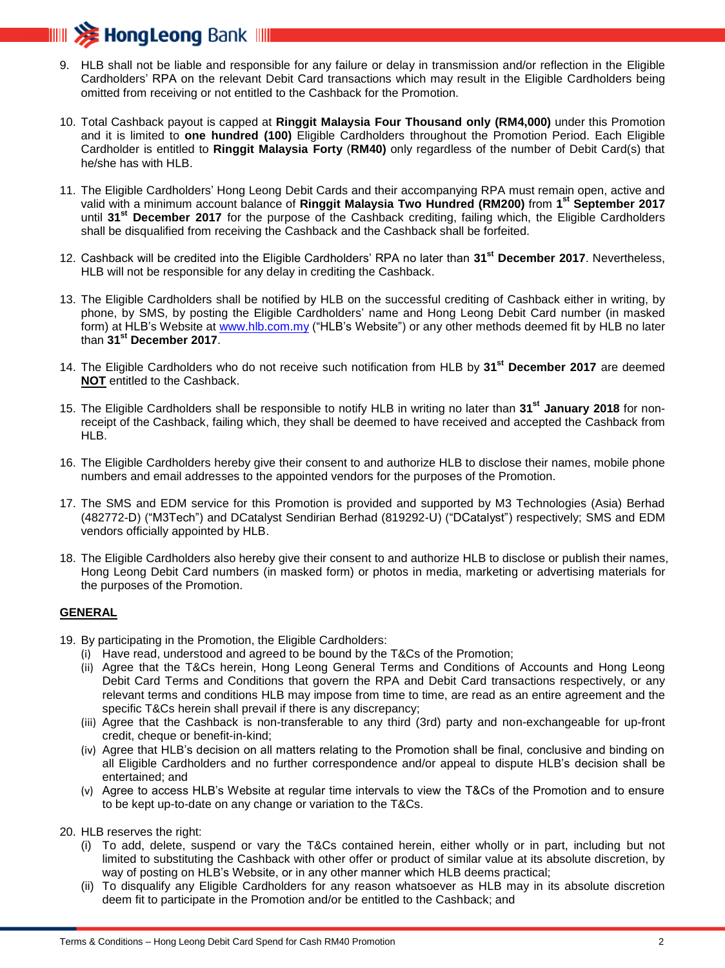

- 9. HLB shall not be liable and responsible for any failure or delay in transmission and/or reflection in the Eligible Cardholders' RPA on the relevant Debit Card transactions which may result in the Eligible Cardholders being omitted from receiving or not entitled to the Cashback for the Promotion.
- 10. Total Cashback payout is capped at **Ringgit Malaysia Four Thousand only (RM4,000)** under this Promotion and it is limited to **one hundred (100)** Eligible Cardholders throughout the Promotion Period. Each Eligible Cardholder is entitled to **Ringgit Malaysia Forty** (**RM40)** only regardless of the number of Debit Card(s) that he/she has with HLB.
- 11. The Eligible Cardholders' Hong Leong Debit Cards and their accompanying RPA must remain open, active and valid with a minimum account balance of **Ringgit Malaysia Two Hundred (RM200)** from **1 st September 2017** until **31st December 2017** for the purpose of the Cashback crediting, failing which, the Eligible Cardholders shall be disqualified from receiving the Cashback and the Cashback shall be forfeited.
- 12. Cashback will be credited into the Eligible Cardholders' RPA no later than **31st December 2017**. Nevertheless, HLB will not be responsible for any delay in crediting the Cashback.
- 13. The Eligible Cardholders shall be notified by HLB on the successful crediting of Cashback either in writing, by phone, by SMS, by posting the Eligible Cardholders' name and Hong Leong Debit Card number (in masked form) at HLB's Website at [www.hlb.com.my](http://www.hlb.com.my/) ("HLB's Website") or any other methods deemed fit by HLB no later than **31st December 2017**.
- 14. The Eligible Cardholders who do not receive such notification from HLB by **31st December 2017** are deemed **NOT** entitled to the Cashback.
- 15. The Eligible Cardholders shall be responsible to notify HLB in writing no later than **31st January 2018** for nonreceipt of the Cashback, failing which, they shall be deemed to have received and accepted the Cashback from HLB.
- 16. The Eligible Cardholders hereby give their consent to and authorize HLB to disclose their names, mobile phone numbers and email addresses to the appointed vendors for the purposes of the Promotion.
- 17. The SMS and EDM service for this Promotion is provided and supported by M3 Technologies (Asia) Berhad (482772-D) ("M3Tech") and DCatalyst Sendirian Berhad (819292-U) ("DCatalyst") respectively; SMS and EDM vendors officially appointed by HLB.
- 18. The Eligible Cardholders also hereby give their consent to and authorize HLB to disclose or publish their names, Hong Leong Debit Card numbers (in masked form) or photos in media, marketing or advertising materials for the purposes of the Promotion.

## **GENERAL**

- 19. By participating in the Promotion, the Eligible Cardholders:
	- (i) Have read, understood and agreed to be bound by the T&Cs of the Promotion;
	- (ii) Agree that the T&Cs herein, Hong Leong General Terms and Conditions of Accounts and Hong Leong Debit Card Terms and Conditions that govern the RPA and Debit Card transactions respectively, or any relevant terms and conditions HLB may impose from time to time, are read as an entire agreement and the specific T&Cs herein shall prevail if there is any discrepancy;
	- (iii) Agree that the Cashback is non-transferable to any third (3rd) party and non-exchangeable for up-front credit, cheque or benefit-in-kind;
	- (iv) Agree that HLB's decision on all matters relating to the Promotion shall be final, conclusive and binding on all Eligible Cardholders and no further correspondence and/or appeal to dispute HLB's decision shall be entertained; and
	- (v) Agree to access HLB's Website at regular time intervals to view the T&Cs of the Promotion and to ensure to be kept up-to-date on any change or variation to the T&Cs.

20. HLB reserves the right:

- (i) To add, delete, suspend or vary the T&Cs contained herein, either wholly or in part, including but not limited to substituting the Cashback with other offer or product of similar value at its absolute discretion, by way of posting on HLB's Website, or in any other manner which HLB deems practical;
- (ii) To disqualify any Eligible Cardholders for any reason whatsoever as HLB may in its absolute discretion deem fit to participate in the Promotion and/or be entitled to the Cashback; and